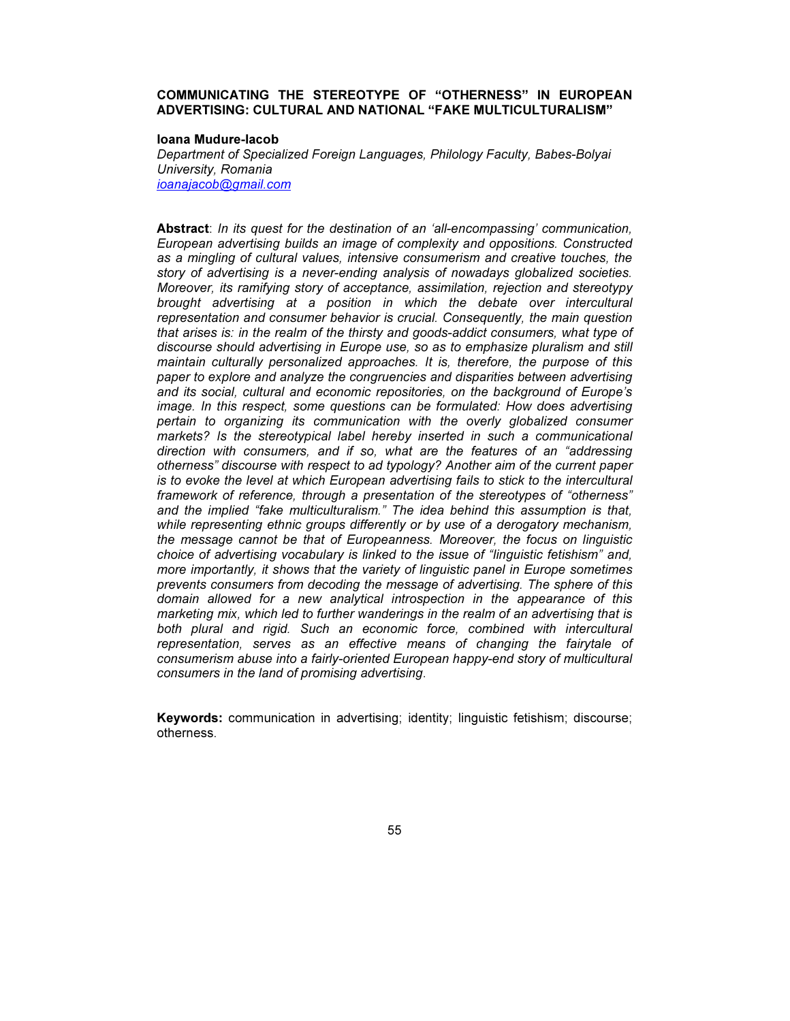# COMMUNICATING THE STEREOTYPE OF "OTHERNESS" IN EUROPEAN ADVERTISING: CULTURAL AND NATIONAL "FAKE MULTICULTURALISM"

#### Ioana Mudure-Iacob

Department of Specialized Foreign Languages, Philology Faculty, Babes-Bolyai University, Romania ioanajacob@gmail.com

Abstract: In its quest for the destination of an 'all-encompassing' communication, European advertising builds an image of complexity and oppositions. Constructed as a mingling of cultural values, intensive consumerism and creative touches, the story of advertising is a never-ending analysis of nowadays globalized societies. Moreover, its ramifying story of acceptance, assimilation, rejection and stereotypy brought advertising at a position in which the debate over intercultural representation and consumer behavior is crucial. Consequently, the main question that arises is: in the realm of the thirsty and goods-addict consumers, what type of discourse should advertising in Europe use, so as to emphasize pluralism and still maintain culturally personalized approaches. It is, therefore, the purpose of this paper to explore and analyze the congruencies and disparities between advertising and its social, cultural and economic repositories, on the background of Europe's image. In this respect, some questions can be formulated: How does advertising pertain to organizing its communication with the overly globalized consumer markets? Is the stereotypical label hereby inserted in such a communicational direction with consumers, and if so, what are the features of an "addressing otherness" discourse with respect to ad typology? Another aim of the current paper is to evoke the level at which European advertising fails to stick to the intercultural framework of reference, through a presentation of the stereotypes of "otherness" and the implied "fake multiculturalism." The idea behind this assumption is that, while representing ethnic groups differently or by use of a derogatory mechanism, the message cannot be that of Europeanness. Moreover, the focus on linguistic choice of advertising vocabulary is linked to the issue of "linguistic fetishism" and, more importantly, it shows that the variety of linguistic panel in Europe sometimes prevents consumers from decoding the message of advertising. The sphere of this domain allowed for a new analytical introspection in the appearance of this marketing mix, which led to further wanderings in the realm of an advertising that is both plural and rigid. Such an economic force, combined with intercultural representation, serves as an effective means of changing the fairytale of consumerism abuse into a fairly-oriented European happy-end story of multicultural consumers in the land of promising advertising.

Keywords: communication in advertising; identity; linguistic fetishism; discourse; otherness.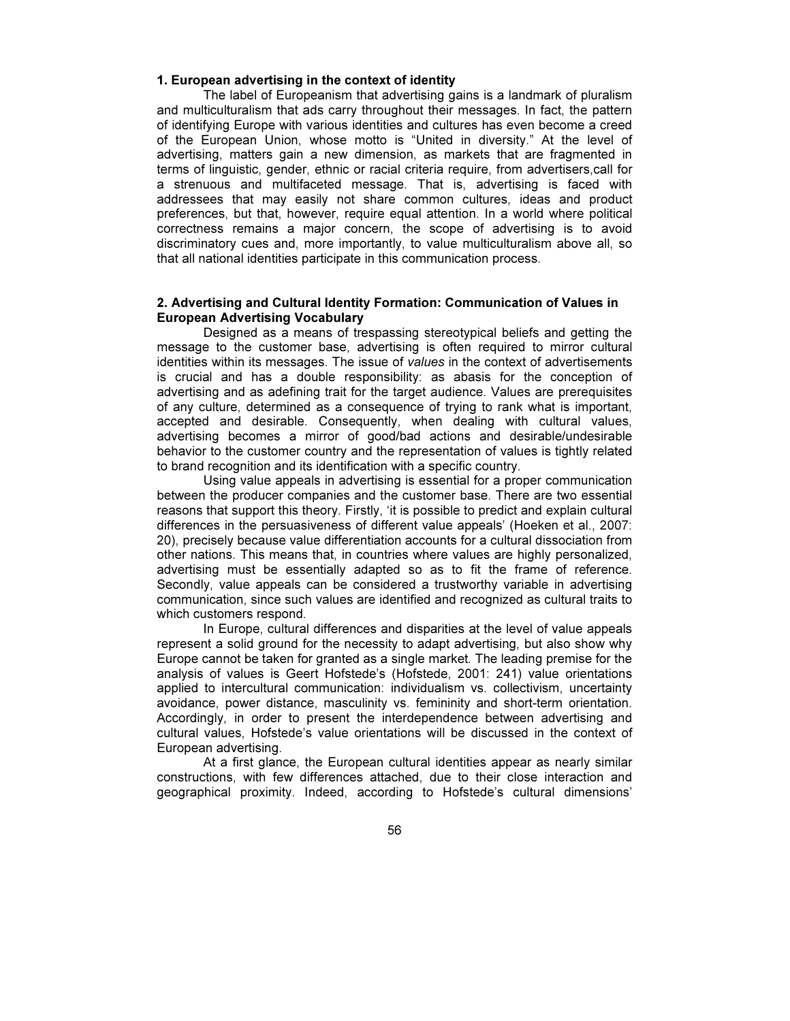# 1. European advertising in the context of identity

The label of Europeanism that advertising gains is a landmark of pluralism and multiculturalism that ads carry throughout their messages. In fact, the pattern of identifying Europe with various identities and cultures has even become a creed of the European Union, whose motto is "United in diversity." At the level of advertising, matters gain a new dimension, as markets that are fragmented in terms of linguistic, gender, ethnic or racial criteria require, from advertisers,call for a strenuous and multifaceted message. That is, advertising is faced with addressees that may easily not share common cultures, ideas and product preferences, but that, however, require equal attention. In a world where political correctness remains a major concern, the scope of advertising is to avoid discriminatory cues and, more importantly, to value multiculturalism above all, so that all national identities participate in this communication process.

# 2. Advertising and Cultural Identity Formation: Communication of Values in European Advertising Vocabulary

Designed as a means of trespassing stereotypical beliefs and getting the message to the customer base, advertising is often required to mirror cultural identities within its messages. The issue of values in the context of advertisements is crucial and has a double responsibility: as abasis for the conception of advertising and as adefining trait for the target audience. Values are prerequisites of any culture, determined as a consequence of trying to rank what is important, accepted and desirable. Consequently, when dealing with cultural values, advertising becomes a mirror of good/bad actions and desirable/undesirable behavior to the customer country and the representation of values is tightly related to brand recognition and its identification with a specific country.

Using value appeals in advertising is essential for a proper communication between the producer companies and the customer base. There are two essential reasons that support this theory. Firstly, 'it is possible to predict and explain cultural differences in the persuasiveness of different value appeals' (Hoeken et al., 2007: 20), precisely because value differentiation accounts for a cultural dissociation from other nations. This means that, in countries where values are highly personalized, advertising must be essentially adapted so as to fit the frame of reference. Secondly, value appeals can be considered a trustworthy variable in advertising communication, since such values are identified and recognized as cultural traits to which customers respond.

In Europe, cultural differences and disparities at the level of value appeals represent a solid ground for the necessity to adapt advertising, but also show why Europe cannot be taken for granted as a single market. The leading premise for the analysis of values is Geert Hofstede's (Hofstede, 2001: 241) value orientations applied to intercultural communication: individualism vs. collectivism, uncertainty avoidance, power distance, masculinity vs. femininity and short-term orientation. Accordingly, in order to present the interdependence between advertising and cultural values, Hofstede's value orientations will be discussed in the context of European advertising.

At a first glance, the European cultural identities appear as nearly similar constructions, with few differences attached, due to their close interaction and geographical proximity. Indeed, according to Hofstede's cultural dimensions'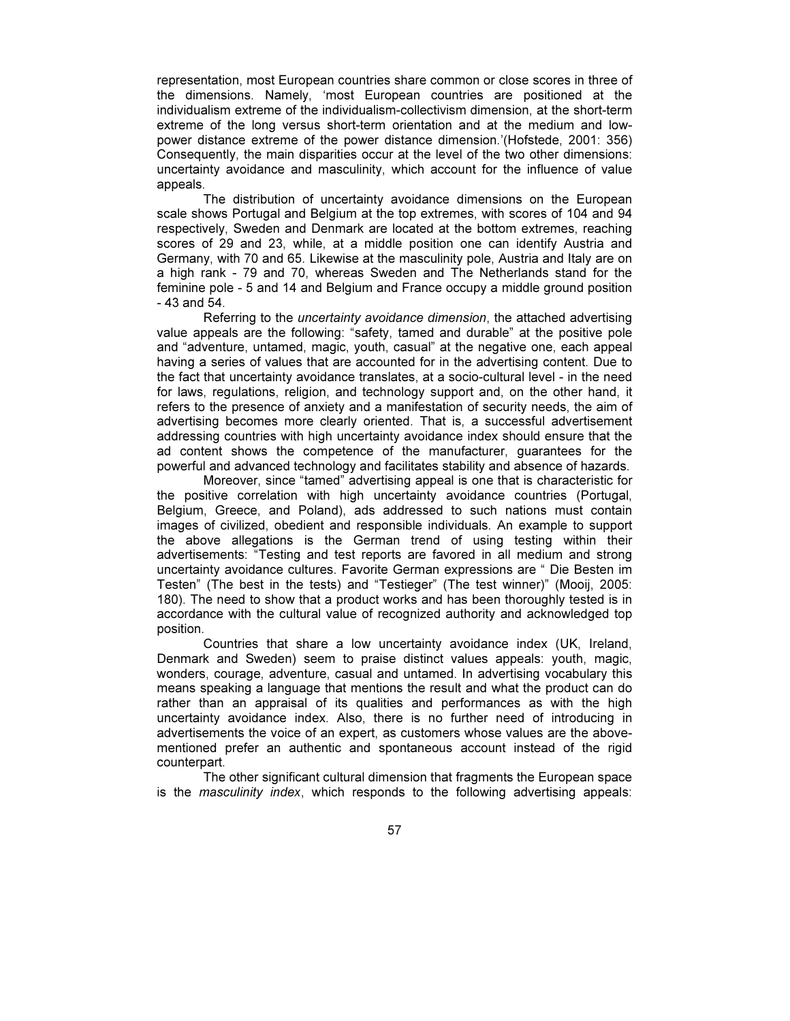representation, most European countries share common or close scores in three of the dimensions. Namely, 'most European countries are positioned at the individualism extreme of the individualism-collectivism dimension, at the short-term extreme of the long versus short-term orientation and at the medium and lowpower distance extreme of the power distance dimension.'(Hofstede, 2001: 356) Consequently, the main disparities occur at the level of the two other dimensions: uncertainty avoidance and masculinity, which account for the influence of value appeals.

The distribution of uncertainty avoidance dimensions on the European scale shows Portugal and Belgium at the top extremes, with scores of 104 and 94 respectively, Sweden and Denmark are located at the bottom extremes, reaching scores of 29 and 23, while, at a middle position one can identify Austria and Germany, with 70 and 65. Likewise at the masculinity pole, Austria and Italy are on a high rank - 79 and 70, whereas Sweden and The Netherlands stand for the feminine pole - 5 and 14 and Belgium and France occupy a middle ground position - 43 and 54.

Referring to the uncertainty avoidance dimension, the attached advertising value appeals are the following: "safety, tamed and durable" at the positive pole and "adventure, untamed, magic, youth, casual" at the negative one, each appeal having a series of values that are accounted for in the advertising content. Due to the fact that uncertainty avoidance translates, at a socio-cultural level - in the need for laws, regulations, religion, and technology support and, on the other hand, it refers to the presence of anxiety and a manifestation of security needs, the aim of advertising becomes more clearly oriented. That is, a successful advertisement addressing countries with high uncertainty avoidance index should ensure that the ad content shows the competence of the manufacturer, guarantees for the powerful and advanced technology and facilitates stability and absence of hazards.

Moreover, since "tamed" advertising appeal is one that is characteristic for the positive correlation with high uncertainty avoidance countries (Portugal, Belgium, Greece, and Poland), ads addressed to such nations must contain images of civilized, obedient and responsible individuals. An example to support the above allegations is the German trend of using testing within their advertisements: "Testing and test reports are favored in all medium and strong uncertainty avoidance cultures. Favorite German expressions are " Die Besten im Testen" (The best in the tests) and "Testieger" (The test winner)" (Mooij, 2005: 180). The need to show that a product works and has been thoroughly tested is in accordance with the cultural value of recognized authority and acknowledged top position.

Countries that share a low uncertainty avoidance index (UK, Ireland, Denmark and Sweden) seem to praise distinct values appeals: youth, magic, wonders, courage, adventure, casual and untamed. In advertising vocabulary this means speaking a language that mentions the result and what the product can do rather than an appraisal of its qualities and performances as with the high uncertainty avoidance index. Also, there is no further need of introducing in advertisements the voice of an expert, as customers whose values are the abovementioned prefer an authentic and spontaneous account instead of the rigid counterpart.

The other significant cultural dimension that fragments the European space is the masculinity index, which responds to the following advertising appeals: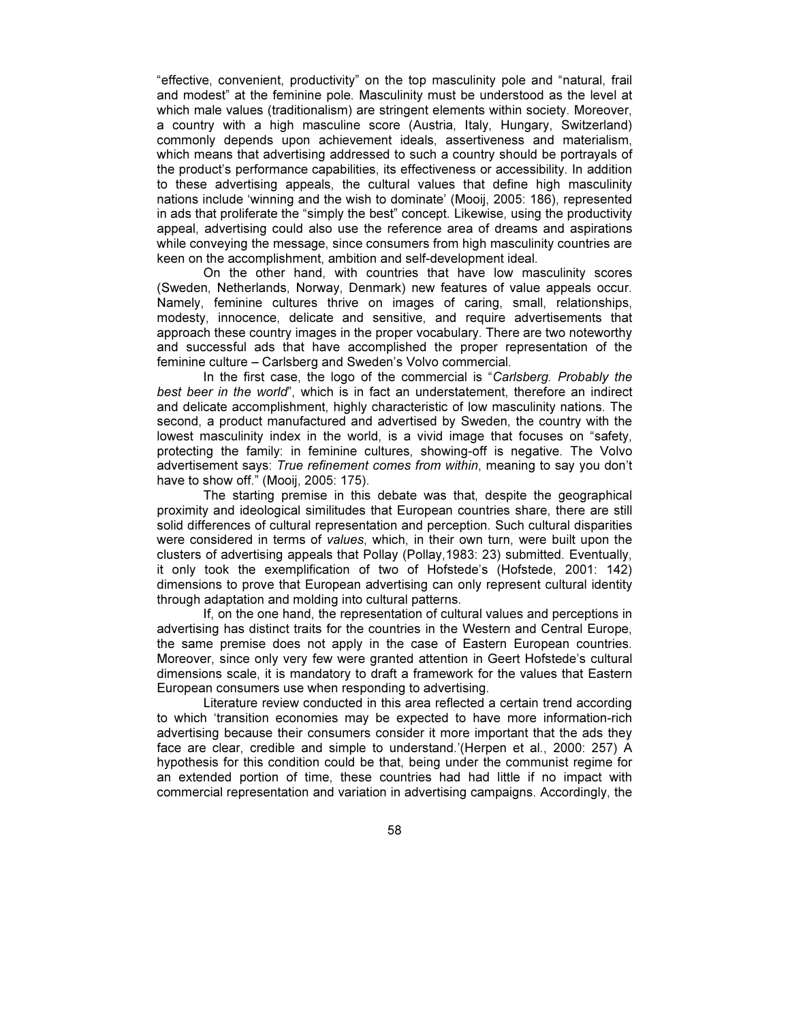"effective, convenient, productivity" on the top masculinity pole and "natural, frail and modest" at the feminine pole. Masculinity must be understood as the level at which male values (traditionalism) are stringent elements within society. Moreover, a country with a high masculine score (Austria, Italy, Hungary, Switzerland) commonly depends upon achievement ideals, assertiveness and materialism, which means that advertising addressed to such a country should be portrayals of the product's performance capabilities, its effectiveness or accessibility. In addition to these advertising appeals, the cultural values that define high masculinity nations include 'winning and the wish to dominate' (Mooij, 2005: 186), represented in ads that proliferate the "simply the best" concept. Likewise, using the productivity appeal, advertising could also use the reference area of dreams and aspirations while conveying the message, since consumers from high masculinity countries are keen on the accomplishment, ambition and self-development ideal.

On the other hand, with countries that have low masculinity scores (Sweden, Netherlands, Norway, Denmark) new features of value appeals occur. Namely, feminine cultures thrive on images of caring, small, relationships, modesty, innocence, delicate and sensitive, and require advertisements that approach these country images in the proper vocabulary. There are two noteworthy and successful ads that have accomplished the proper representation of the feminine culture – Carlsberg and Sweden's Volvo commercial.

In the first case, the logo of the commercial is "Carlsberg. Probably the best beer in the world", which is in fact an understatement, therefore an indirect and delicate accomplishment, highly characteristic of low masculinity nations. The second, a product manufactured and advertised by Sweden, the country with the lowest masculinity index in the world, is a vivid image that focuses on "safety, protecting the family: in feminine cultures, showing-off is negative. The Volvo advertisement says: True refinement comes from within, meaning to say you don't have to show off." (Mooij, 2005: 175).

The starting premise in this debate was that, despite the geographical proximity and ideological similitudes that European countries share, there are still solid differences of cultural representation and perception. Such cultural disparities were considered in terms of values, which, in their own turn, were built upon the clusters of advertising appeals that Pollay (Pollay,1983: 23) submitted. Eventually, it only took the exemplification of two of Hofstede's (Hofstede, 2001: 142) dimensions to prove that European advertising can only represent cultural identity through adaptation and molding into cultural patterns.

If, on the one hand, the representation of cultural values and perceptions in advertising has distinct traits for the countries in the Western and Central Europe, the same premise does not apply in the case of Eastern European countries. Moreover, since only very few were granted attention in Geert Hofstede's cultural dimensions scale, it is mandatory to draft a framework for the values that Eastern European consumers use when responding to advertising.

Literature review conducted in this area reflected a certain trend according to which 'transition economies may be expected to have more information-rich advertising because their consumers consider it more important that the ads they face are clear, credible and simple to understand.'(Herpen et al., 2000: 257) A hypothesis for this condition could be that, being under the communist regime for an extended portion of time, these countries had had little if no impact with commercial representation and variation in advertising campaigns. Accordingly, the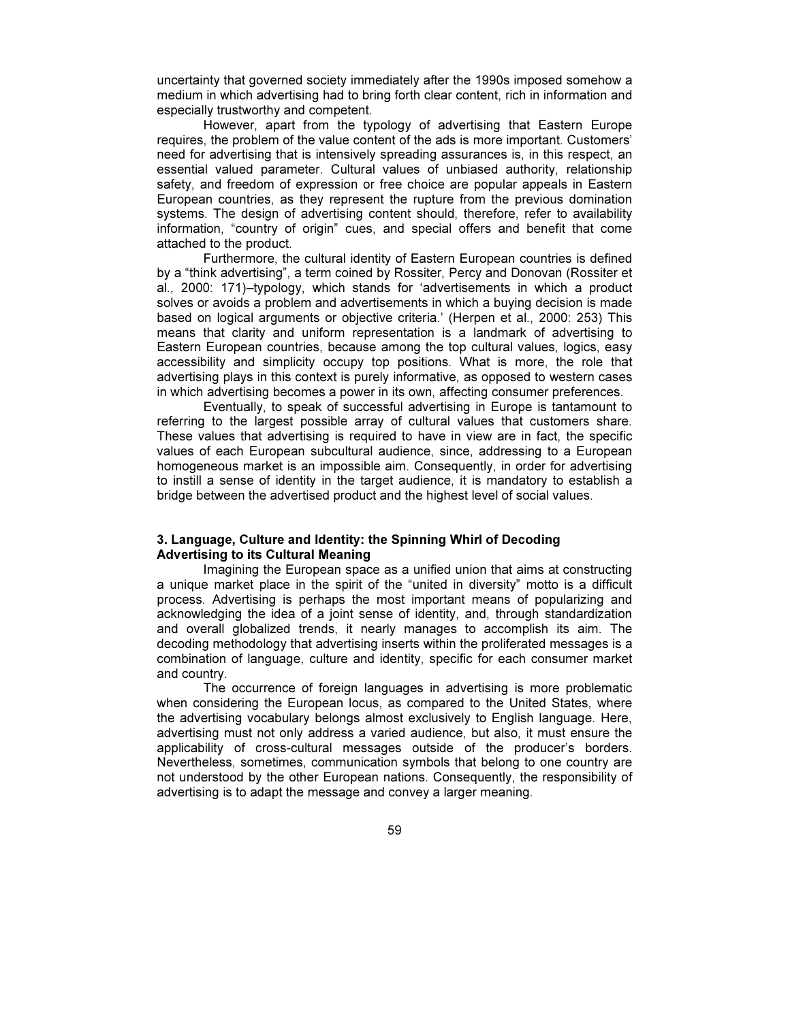uncertainty that governed society immediately after the 1990s imposed somehow a medium in which advertising had to bring forth clear content, rich in information and especially trustworthy and competent.

However, apart from the typology of advertising that Eastern Europe requires, the problem of the value content of the ads is more important. Customers' need for advertising that is intensively spreading assurances is, in this respect, an essential valued parameter. Cultural values of unbiased authority, relationship safety, and freedom of expression or free choice are popular appeals in Eastern European countries, as they represent the rupture from the previous domination systems. The design of advertising content should, therefore, refer to availability information, "country of origin" cues, and special offers and benefit that come attached to the product.

Furthermore, the cultural identity of Eastern European countries is defined by a "think advertising", a term coined by Rossiter, Percy and Donovan (Rossiter et al., 2000: 171)–typology, which stands for 'advertisements in which a product solves or avoids a problem and advertisements in which a buying decision is made based on logical arguments or objective criteria.' (Herpen et al., 2000: 253) This means that clarity and uniform representation is a landmark of advertising to Eastern European countries, because among the top cultural values, logics, easy accessibility and simplicity occupy top positions. What is more, the role that advertising plays in this context is purely informative, as opposed to western cases in which advertising becomes a power in its own, affecting consumer preferences.

Eventually, to speak of successful advertising in Europe is tantamount to referring to the largest possible array of cultural values that customers share. These values that advertising is required to have in view are in fact, the specific values of each European subcultural audience, since, addressing to a European homogeneous market is an impossible aim. Consequently, in order for advertising to instill a sense of identity in the target audience, it is mandatory to establish a bridge between the advertised product and the highest level of social values.

# 3. Language, Culture and Identity: the Spinning Whirl of Decoding Advertising to its Cultural Meaning

Imagining the European space as a unified union that aims at constructing a unique market place in the spirit of the "united in diversity" motto is a difficult process. Advertising is perhaps the most important means of popularizing and acknowledging the idea of a joint sense of identity, and, through standardization and overall globalized trends, it nearly manages to accomplish its aim. The decoding methodology that advertising inserts within the proliferated messages is a combination of language, culture and identity, specific for each consumer market and country.

The occurrence of foreign languages in advertising is more problematic when considering the European locus, as compared to the United States, where the advertising vocabulary belongs almost exclusively to English language. Here, advertising must not only address a varied audience, but also, it must ensure the applicability of cross-cultural messages outside of the producer's borders. Nevertheless, sometimes, communication symbols that belong to one country are not understood by the other European nations. Consequently, the responsibility of advertising is to adapt the message and convey a larger meaning.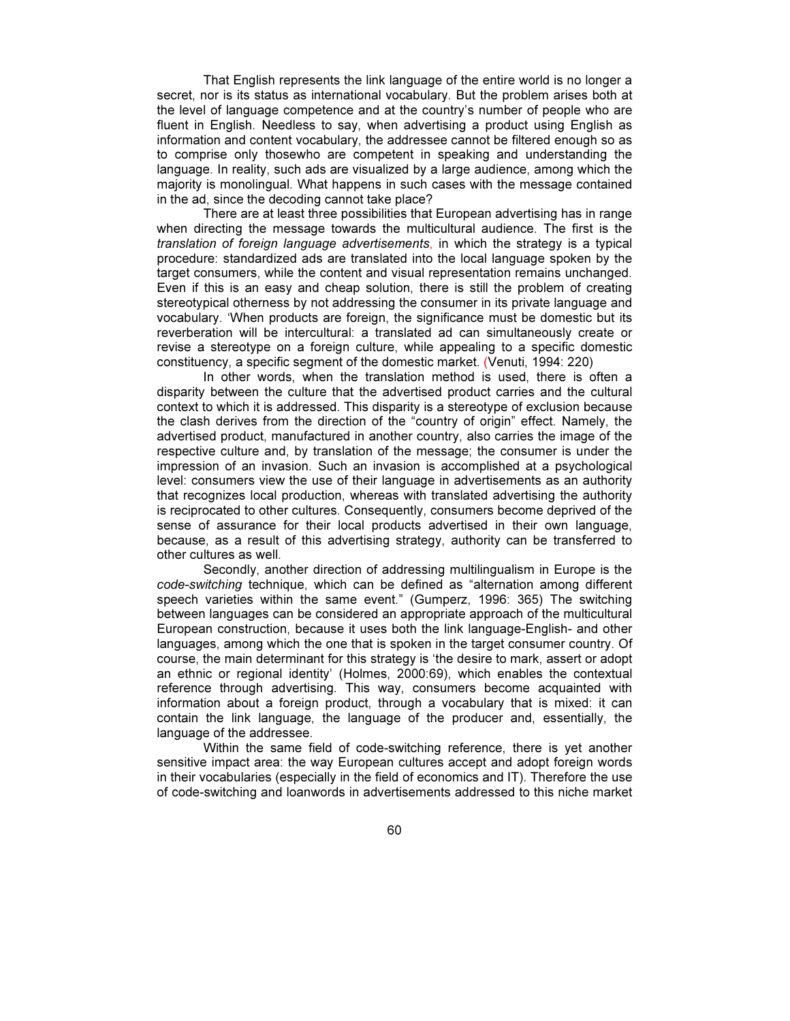That English represents the link language of the entire world is no longer a secret, nor is its status as international vocabulary. But the problem arises both at the level of language competence and at the country's number of people who are fluent in English. Needless to say, when advertising a product using English as information and content vocabulary, the addressee cannot be filtered enough so as to comprise only thosewho are competent in speaking and understanding the language. In reality, such ads are visualized by a large audience, among which the majority is monolingual. What happens in such cases with the message contained in the ad, since the decoding cannot take place?

There are at least three possibilities that European advertising has in range when directing the message towards the multicultural audience. The first is the translation of foreign language advertisements, in which the strategy is a typical procedure: standardized ads are translated into the local language spoken by the target consumers, while the content and visual representation remains unchanged. Even if this is an easy and cheap solution, there is still the problem of creating stereotypical otherness by not addressing the consumer in its private language and vocabulary. 'When products are foreign, the significance must be domestic but its reverberation will be intercultural: a translated ad can simultaneously create or revise a stereotype on a foreign culture, while appealing to a specific domestic constituency, a specific segment of the domestic market. (Venuti, 1994: 220)

In other words, when the translation method is used, there is often a disparity between the culture that the advertised product carries and the cultural context to which it is addressed. This disparity is a stereotype of exclusion because the clash derives from the direction of the "country of origin" effect. Namely, the advertised product, manufactured in another country, also carries the image of the respective culture and, by translation of the message; the consumer is under the impression of an invasion. Such an invasion is accomplished at a psychological level: consumers view the use of their language in advertisements as an authority that recognizes local production, whereas with translated advertising the authority is reciprocated to other cultures. Consequently, consumers become deprived of the sense of assurance for their local products advertised in their own language, because, as a result of this advertising strategy, authority can be transferred to other cultures as well.

Secondly, another direction of addressing multilingualism in Europe is the code-switching technique, which can be defined as "alternation among different speech varieties within the same event." (Gumperz, 1996: 365) The switching between languages can be considered an appropriate approach of the multicultural European construction, because it uses both the link language-English- and other languages, among which the one that is spoken in the target consumer country. Of course, the main determinant for this strategy is 'the desire to mark, assert or adopt an ethnic or regional identity' (Holmes, 2000:69), which enables the contextual reference through advertising. This way, consumers become acquainted with information about a foreign product, through a vocabulary that is mixed: it can contain the link language, the language of the producer and, essentially, the language of the addressee.

Within the same field of code-switching reference, there is yet another sensitive impact area: the way European cultures accept and adopt foreign words in their vocabularies (especially in the field of economics and IT). Therefore the use of code-switching and loanwords in advertisements addressed to this niche market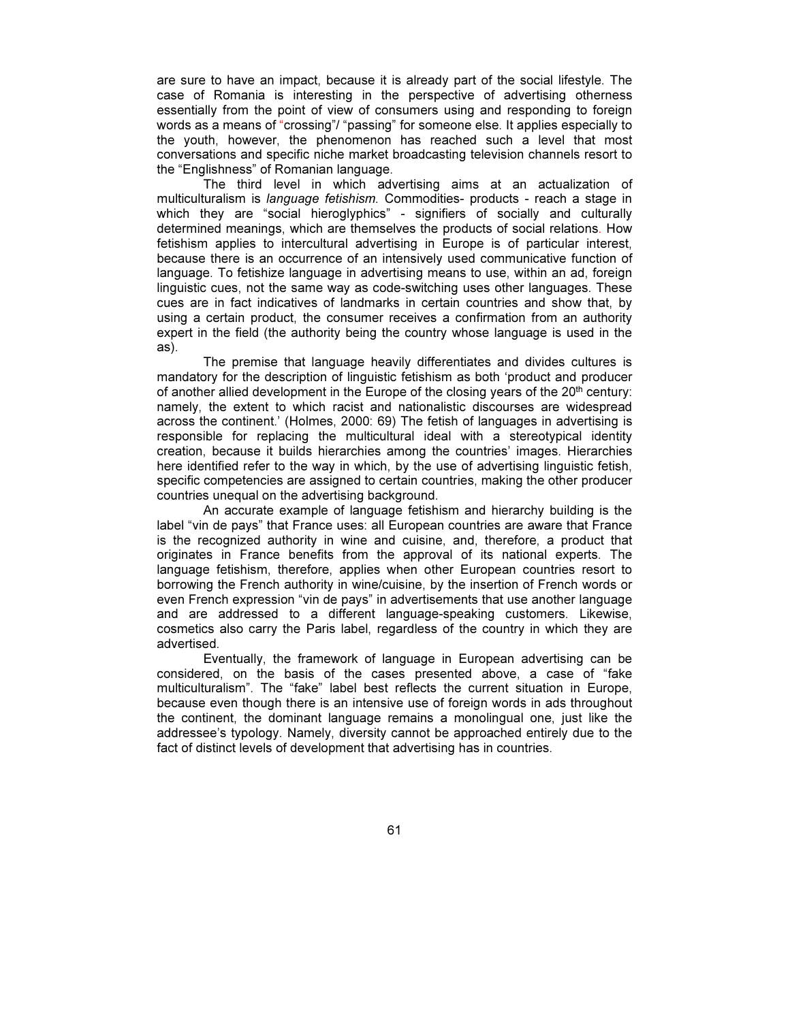are sure to have an impact, because it is already part of the social lifestyle. The case of Romania is interesting in the perspective of advertising otherness essentially from the point of view of consumers using and responding to foreign words as a means of "crossing"/ "passing" for someone else. It applies especially to the youth, however, the phenomenon has reached such a level that most conversations and specific niche market broadcasting television channels resort to the "Englishness" of Romanian language.

The third level in which advertising aims at an actualization of multiculturalism is language fetishism. Commodities- products - reach a stage in which they are "social hieroglyphics" - signifiers of socially and culturally determined meanings, which are themselves the products of social relations. How fetishism applies to intercultural advertising in Europe is of particular interest, because there is an occurrence of an intensively used communicative function of language. To fetishize language in advertising means to use, within an ad, foreign linguistic cues, not the same way as code-switching uses other languages. These cues are in fact indicatives of landmarks in certain countries and show that, by using a certain product, the consumer receives a confirmation from an authority expert in the field (the authority being the country whose language is used in the as).

The premise that language heavily differentiates and divides cultures is mandatory for the description of linguistic fetishism as both 'product and producer of another allied development in the Europe of the closing years of the  $20<sup>th</sup>$  century: namely, the extent to which racist and nationalistic discourses are widespread across the continent.' (Holmes, 2000: 69) The fetish of languages in advertising is responsible for replacing the multicultural ideal with a stereotypical identity creation, because it builds hierarchies among the countries' images. Hierarchies here identified refer to the way in which, by the use of advertising linguistic fetish, specific competencies are assigned to certain countries, making the other producer countries unequal on the advertising background.

An accurate example of language fetishism and hierarchy building is the label "vin de pays" that France uses: all European countries are aware that France is the recognized authority in wine and cuisine, and, therefore, a product that originates in France benefits from the approval of its national experts. The language fetishism, therefore, applies when other European countries resort to borrowing the French authority in wine/cuisine, by the insertion of French words or even French expression "vin de pays" in advertisements that use another language and are addressed to a different language-speaking customers. Likewise, cosmetics also carry the Paris label, regardless of the country in which they are advertised.

Eventually, the framework of language in European advertising can be considered, on the basis of the cases presented above, a case of "fake multiculturalism". The "fake" label best reflects the current situation in Europe, because even though there is an intensive use of foreign words in ads throughout the continent, the dominant language remains a monolingual one, just like the addressee's typology. Namely, diversity cannot be approached entirely due to the fact of distinct levels of development that advertising has in countries.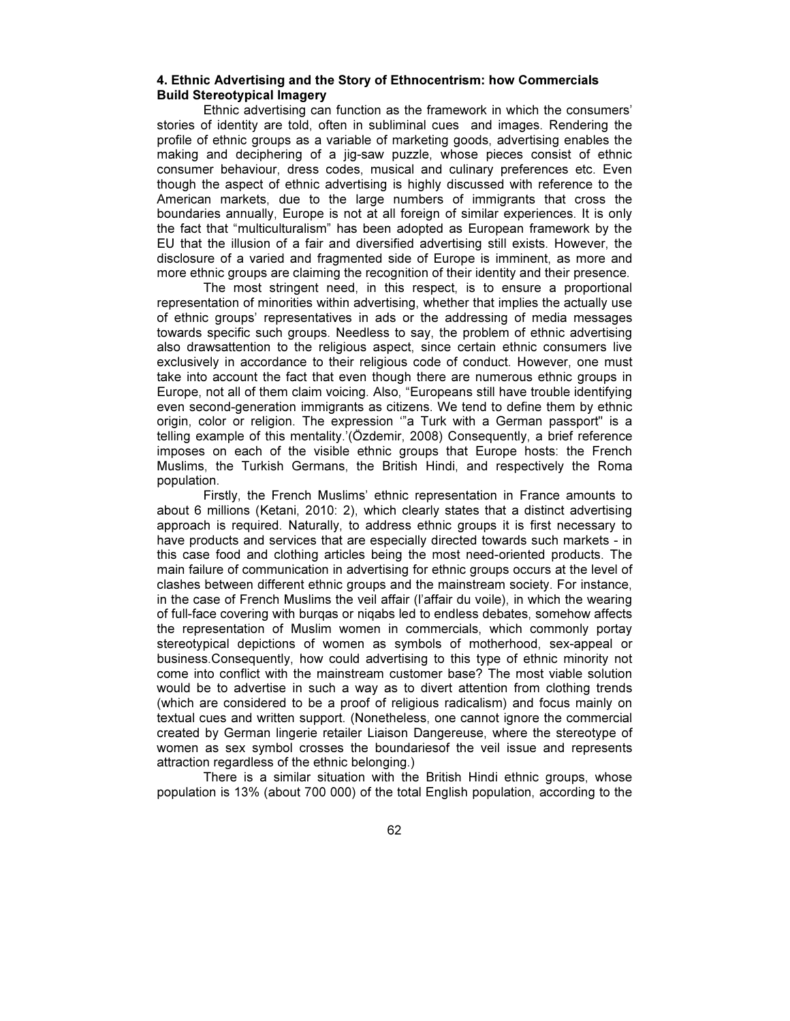### 4. Ethnic Advertising and the Story of Ethnocentrism: how Commercials Build Stereotypical Imagery

Ethnic advertising can function as the framework in which the consumers' stories of identity are told, often in subliminal cues and images. Rendering the profile of ethnic groups as a variable of marketing goods, advertising enables the making and deciphering of a jig-saw puzzle, whose pieces consist of ethnic consumer behaviour, dress codes, musical and culinary preferences etc. Even though the aspect of ethnic advertising is highly discussed with reference to the American markets, due to the large numbers of immigrants that cross the boundaries annually, Europe is not at all foreign of similar experiences. It is only the fact that "multiculturalism" has been adopted as European framework by the EU that the illusion of a fair and diversified advertising still exists. However, the disclosure of a varied and fragmented side of Europe is imminent, as more and more ethnic groups are claiming the recognition of their identity and their presence.

The most stringent need, in this respect, is to ensure a proportional representation of minorities within advertising, whether that implies the actually use of ethnic groups' representatives in ads or the addressing of media messages towards specific such groups. Needless to say, the problem of ethnic advertising also drawsattention to the religious aspect, since certain ethnic consumers live exclusively in accordance to their religious code of conduct. However, one must take into account the fact that even though there are numerous ethnic groups in Europe, not all of them claim voicing. Also, "Europeans still have trouble identifying even second-generation immigrants as citizens. We tend to define them by ethnic origin, color or religion. The expression '"a Turk with a German passport" is a telling example of this mentality.'(Özdemir, 2008) Consequently, a brief reference imposes on each of the visible ethnic groups that Europe hosts: the French Muslims, the Turkish Germans, the British Hindi, and respectively the Roma population.

Firstly, the French Muslims' ethnic representation in France amounts to about 6 millions (Ketani, 2010: 2), which clearly states that a distinct advertising approach is required. Naturally, to address ethnic groups it is first necessary to have products and services that are especially directed towards such markets - in this case food and clothing articles being the most need-oriented products. The main failure of communication in advertising for ethnic groups occurs at the level of clashes between different ethnic groups and the mainstream society. For instance, in the case of French Muslims the veil affair (l'affair du voile), in which the wearing of full-face covering with burqas or niqabs led to endless debates, somehow affects the representation of Muslim women in commercials, which commonly portay stereotypical depictions of women as symbols of motherhood, sex-appeal or business.Consequently, how could advertising to this type of ethnic minority not come into conflict with the mainstream customer base? The most viable solution would be to advertise in such a way as to divert attention from clothing trends (which are considered to be a proof of religious radicalism) and focus mainly on textual cues and written support. (Nonetheless, one cannot ignore the commercial created by German lingerie retailer Liaison Dangereuse, where the stereotype of women as sex symbol crosses the boundariesof the veil issue and represents attraction regardless of the ethnic belonging.)

There is a similar situation with the British Hindi ethnic groups, whose population is 13% (about 700 000) of the total English population, according to the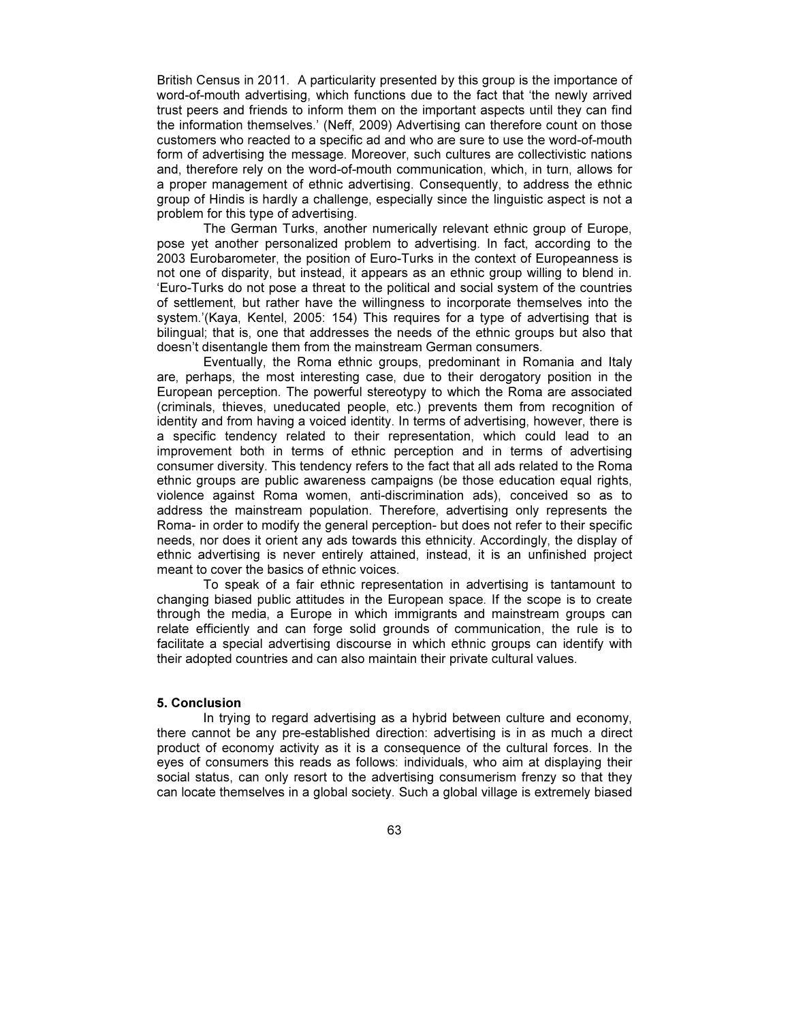British Census in 2011. A particularity presented by this group is the importance of word-of-mouth advertising, which functions due to the fact that 'the newly arrived trust peers and friends to inform them on the important aspects until they can find the information themselves.' (Neff, 2009) Advertising can therefore count on those customers who reacted to a specific ad and who are sure to use the word-of-mouth form of advertising the message. Moreover, such cultures are collectivistic nations and, therefore rely on the word-of-mouth communication, which, in turn, allows for a proper management of ethnic advertising. Consequently, to address the ethnic group of Hindis is hardly a challenge, especially since the linguistic aspect is not a problem for this type of advertising.

 The German Turks, another numerically relevant ethnic group of Europe, pose yet another personalized problem to advertising. In fact, according to the 2003 Eurobarometer, the position of Euro-Turks in the context of Europeanness is not one of disparity, but instead, it appears as an ethnic group willing to blend in. 'Euro-Turks do not pose a threat to the political and social system of the countries of settlement, but rather have the willingness to incorporate themselves into the system.'(Kaya, Kentel, 2005: 154) This requires for a type of advertising that is bilingual; that is, one that addresses the needs of the ethnic groups but also that doesn't disentangle them from the mainstream German consumers.

 Eventually, the Roma ethnic groups, predominant in Romania and Italy are, perhaps, the most interesting case, due to their derogatory position in the European perception. The powerful stereotypy to which the Roma are associated (criminals, thieves, uneducated people, etc.) prevents them from recognition of identity and from having a voiced identity. In terms of advertising, however, there is a specific tendency related to their representation, which could lead to an improvement both in terms of ethnic perception and in terms of advertising consumer diversity. This tendency refers to the fact that all ads related to the Roma ethnic groups are public awareness campaigns (be those education equal rights, violence against Roma women, anti-discrimination ads), conceived so as to address the mainstream population. Therefore, advertising only represents the Roma- in order to modify the general perception- but does not refer to their specific needs, nor does it orient any ads towards this ethnicity. Accordingly, the display of ethnic advertising is never entirely attained, instead, it is an unfinished project meant to cover the basics of ethnic voices.

To speak of a fair ethnic representation in advertising is tantamount to changing biased public attitudes in the European space. If the scope is to create through the media, a Europe in which immigrants and mainstream groups can relate efficiently and can forge solid grounds of communication, the rule is to facilitate a special advertising discourse in which ethnic groups can identify with their adopted countries and can also maintain their private cultural values.

#### 5. Conclusion

In trying to regard advertising as a hybrid between culture and economy, there cannot be any pre-established direction: advertising is in as much a direct product of economy activity as it is a consequence of the cultural forces. In the eyes of consumers this reads as follows: individuals, who aim at displaying their social status, can only resort to the advertising consumerism frenzy so that they can locate themselves in a global society. Such a global village is extremely biased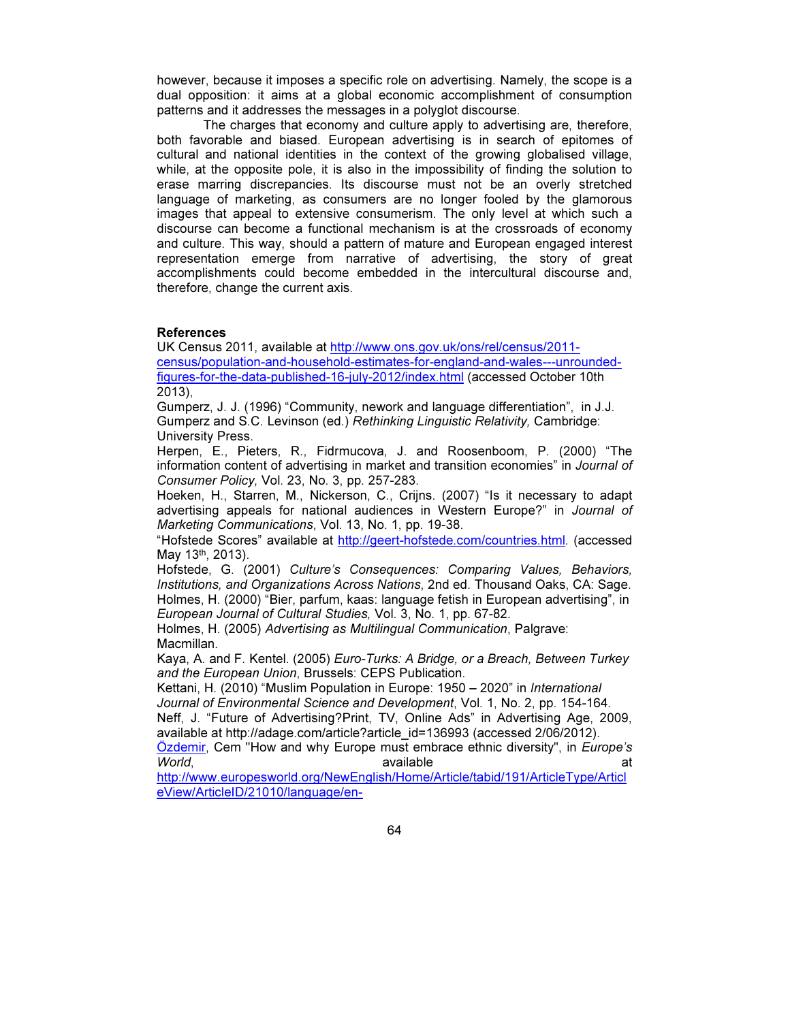however, because it imposes a specific role on advertising. Namely, the scope is a dual opposition: it aims at a global economic accomplishment of consumption patterns and it addresses the messages in a polyglot discourse.

The charges that economy and culture apply to advertising are, therefore, both favorable and biased. European advertising is in search of epitomes of cultural and national identities in the context of the growing globalised village, while, at the opposite pole, it is also in the impossibility of finding the solution to erase marring discrepancies. Its discourse must not be an overly stretched language of marketing, as consumers are no longer fooled by the glamorous images that appeal to extensive consumerism. The only level at which such a discourse can become a functional mechanism is at the crossroads of economy and culture. This way, should a pattern of mature and European engaged interest representation emerge from narrative of advertising, the story of great accomplishments could become embedded in the intercultural discourse and, therefore, change the current axis.

# References

UK Census 2011, available at http://www.ons.gov.uk/ons/rel/census/2011 census/population-and-household-estimates-for-england-and-wales---unroundedfigures-for-the-data-published-16-july-2012/index.html (accessed October 10th 2013),

Gumperz, J. J. (1996) "Community, nework and language differentiation", in J.J. Gumperz and S.C. Levinson (ed.) Rethinking Linguistic Relativity, Cambridge: University Press.

Herpen, E., Pieters, R., Fidrmucova, J. and Roosenboom, P. (2000) "The information content of advertising in market and transition economies" in Journal of Consumer Policy, Vol. 23, No. 3, pp. 257-283.

Hoeken, H., Starren, M., Nickerson, C., Crijns. (2007) "Is it necessary to adapt advertising appeals for national audiences in Western Europe?" in Journal of Marketing Communications, Vol. 13, No. 1, pp. 19-38.

"Hofstede Scores" available at http://geert-hofstede.com/countries.html. (accessed May 13<sup>th</sup>, 2013).

Hofstede, G. (2001) Culture's Consequences: Comparing Values, Behaviors, Institutions, and Organizations Across Nations, 2nd ed. Thousand Oaks, CA: Sage. Holmes, H. (2000) "Bier, parfum, kaas: language fetish in European advertising", in European Journal of Cultural Studies, Vol. 3, No. 1, pp. 67-82.

Holmes, H. (2005) Advertising as Multilingual Communication, Palgrave: Macmillan.

Kaya, A. and F. Kentel. (2005) Euro-Turks: A Bridge, or a Breach, Between Turkey and the European Union, Brussels: CEPS Publication.

Kettani, H. (2010) "Muslim Population in Europe: 1950 – 2020" in International

Journal of Environmental Science and Development, Vol. 1, No. 2, pp. 154-164. Neff, J. "Future of Advertising?Print, TV, Online Ads" in Advertising Age, 2009, available at http://adage.com/article?article\_id=136993 (accessed 2/06/2012).

Özdemir, Cem "How and why Europe must embrace ethnic diversity", in Europe's World, available at the control of the attenuation of the attenuation of the attenuation of the control of the attenuation of the attenuation of the attenuation of the attenuation of the attenuation of the attenuation of t

http://www.europesworld.org/NewEnglish/Home/Article/tabid/191/ArticleType/Articl eView/ArticleID/21010/language/en